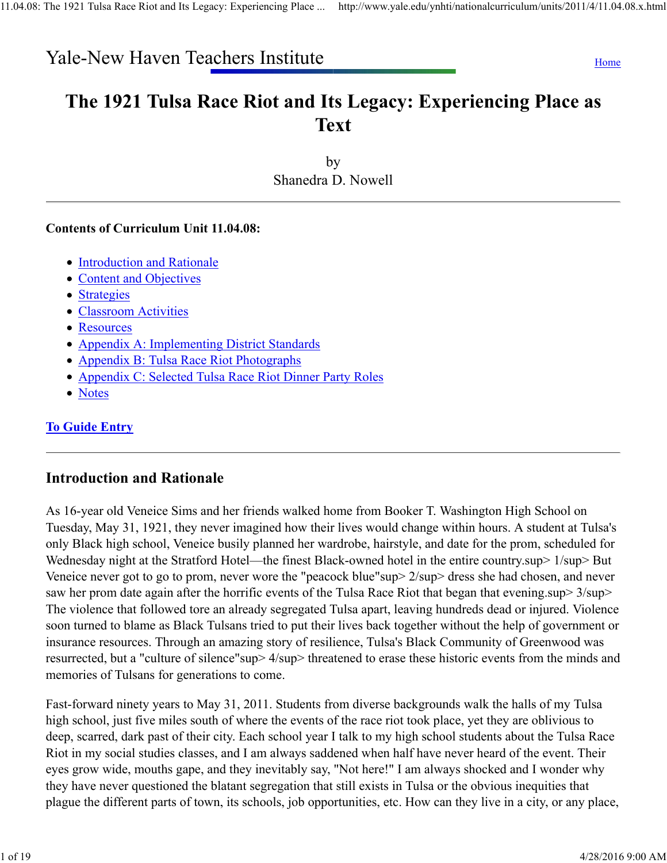# Yale-New Haven Teachers Institute Home Home

# The 1921 Tulsa Race Riot and Its Legacy: Experiencing Place as Text

by Shanedra D. Nowell

#### Contents of Curriculum Unit 11.04.08:

- Introduction and Rationale
- Content and Objectives
- Strategies
- Classroom Activities
- Resources
- Appendix A: Implementing District Standards
- Appendix B: Tulsa Race Riot Photographs
- Appendix C: Selected Tulsa Race Riot Dinner Party Roles
- Notes

# To Guide Entry

# Introduction and Rationale

As 16-year old Veneice Sims and her friends walked home from Booker T. Washington High School on Tuesday, May 31, 1921, they never imagined how their lives would change within hours. A student at Tulsa's only Black high school, Veneice busily planned her wardrobe, hairstyle, and date for the prom, scheduled for Wednesday night at the Stratford Hotel—the finest Black-owned hotel in the entire country.sup> 1/sup> But Veneice never got to go to prom, never wore the "peacock blue"sup> 2/sup> dress she had chosen, and never saw her prom date again after the horrific events of the Tulsa Race Riot that began that evening.sup> 3/sup> The violence that followed tore an already segregated Tulsa apart, leaving hundreds dead or injured. Violence soon turned to blame as Black Tulsans tried to put their lives back together without the help of government or insurance resources. Through an amazing story of resilience, Tulsa's Black Community of Greenwood was resurrected, but a "culture of silence"sup> 4/sup> threatened to erase these historic events from the minds and memories of Tulsans for generations to come.

Fast-forward ninety years to May 31, 2011. Students from diverse backgrounds walk the halls of my Tulsa high school, just five miles south of where the events of the race riot took place, yet they are oblivious to deep, scarred, dark past of their city. Each school year I talk to my high school students about the Tulsa Race Riot in my social studies classes, and I am always saddened when half have never heard of the event. Their eyes grow wide, mouths gape, and they inevitably say, "Not here!" I am always shocked and I wonder why they have never questioned the blatant segregation that still exists in Tulsa or the obvious inequities that plague the different parts of town, its schools, job opportunities, etc. How can they live in a city, or any place,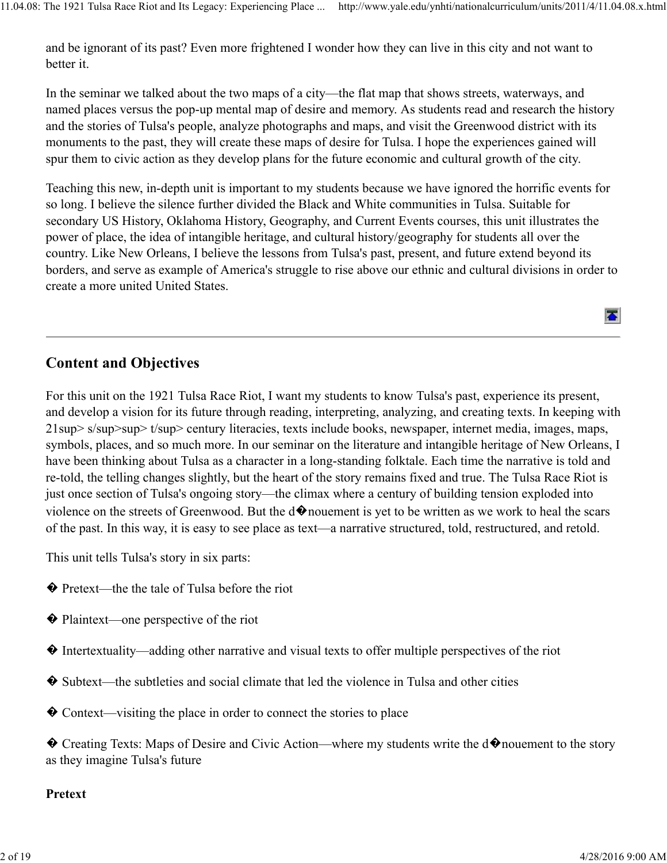and be ignorant of its past? Even more frightened I wonder how they can live in this city and not want to better it.

In the seminar we talked about the two maps of a city—the flat map that shows streets, waterways, and named places versus the pop-up mental map of desire and memory. As students read and research the history and the stories of Tulsa's people, analyze photographs and maps, and visit the Greenwood district with its monuments to the past, they will create these maps of desire for Tulsa. I hope the experiences gained will spur them to civic action as they develop plans for the future economic and cultural growth of the city.

Teaching this new, in-depth unit is important to my students because we have ignored the horrific events for so long. I believe the silence further divided the Black and White communities in Tulsa. Suitable for secondary US History, Oklahoma History, Geography, and Current Events courses, this unit illustrates the power of place, the idea of intangible heritage, and cultural history/geography for students all over the country. Like New Orleans, I believe the lessons from Tulsa's past, present, and future extend beyond its borders, and serve as example of America's struggle to rise above our ethnic and cultural divisions in order to create a more united United States.

# Content and Objectives

For this unit on the 1921 Tulsa Race Riot, I want my students to know Tulsa's past, experience its present, and develop a vision for its future through reading, interpreting, analyzing, and creating texts. In keeping with 21sup> s/sup>sup> t/sup> century literacies, texts include books, newspaper, internet media, images, maps, symbols, places, and so much more. In our seminar on the literature and intangible heritage of New Orleans, I have been thinking about Tulsa as a character in a long-standing folktale. Each time the narrative is told and re-told, the telling changes slightly, but the heart of the story remains fixed and true. The Tulsa Race Riot is just once section of Tulsa's ongoing story—the climax where a century of building tension exploded into violence on the streets of Greenwood. But the  $d\hat{\mathbf{\Phi}}$  nouement is yet to be written as we work to heal the scars of the past. In this way, it is easy to see place as text—a narrative structured, told, restructured, and retold.

This unit tells Tulsa's story in six parts:

- � Pretext—the the tale of Tulsa before the riot
- � Plaintext—one perspective of the riot
- � Intertextuality—adding other narrative and visual texts to offer multiple perspectives of the riot
- � Subtext—the subtleties and social climate that led the violence in Tulsa and other cities
- � Context—visiting the place in order to connect the stories to place
- ◆ Creating Texts: Maps of Desire and Civic Action—where my students write the d◆nouement to the story as they imagine Tulsa's future

#### Pretext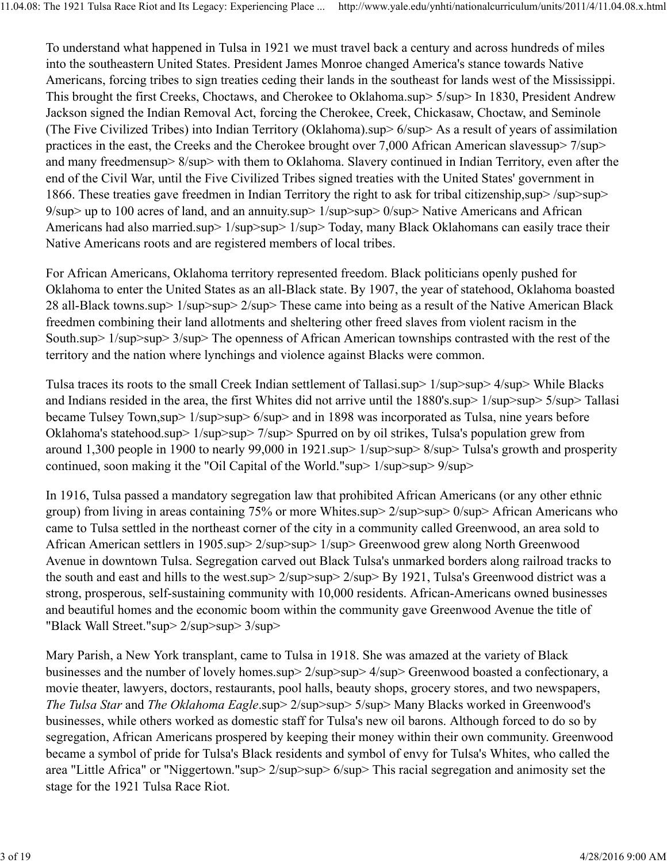To understand what happened in Tulsa in 1921 we must travel back a century and across hundreds of miles into the southeastern United States. President James Monroe changed America's stance towards Native Americans, forcing tribes to sign treaties ceding their lands in the southeast for lands west of the Mississippi. This brought the first Creeks, Choctaws, and Cherokee to Oklahoma.sup> 5/sup> In 1830, President Andrew Jackson signed the Indian Removal Act, forcing the Cherokee, Creek, Chickasaw, Choctaw, and Seminole (The Five Civilized Tribes) into Indian Territory (Oklahoma).sup> 6/sup> As a result of years of assimilation practices in the east, the Creeks and the Cherokee brought over 7,000 African American slavessup> 7/sup> and many freedmensup> 8/sup> with them to Oklahoma. Slavery continued in Indian Territory, even after the end of the Civil War, until the Five Civilized Tribes signed treaties with the United States' government in 1866. These treaties gave freedmen in Indian Territory the right to ask for tribal citizenship,sup> /sup>sup> 9/sup> up to 100 acres of land, and an annuity.sup> 1/sup>sup> 0/sup> Native Americans and African Americans had also married.sup> 1/sup>sup> 1/sup> Today, many Black Oklahomans can easily trace their Native Americans roots and are registered members of local tribes.

For African Americans, Oklahoma territory represented freedom. Black politicians openly pushed for Oklahoma to enter the United States as an all-Black state. By 1907, the year of statehood, Oklahoma boasted 28 all-Black towns.sup> 1/sup>sup> 2/sup> These came into being as a result of the Native American Black freedmen combining their land allotments and sheltering other freed slaves from violent racism in the South.sup> 1/sup>sup> 3/sup> The openness of African American townships contrasted with the rest of the territory and the nation where lynchings and violence against Blacks were common.

Tulsa traces its roots to the small Creek Indian settlement of Tallasi.sup> 1/sup>sup> 4/sup> While Blacks and Indians resided in the area, the first Whites did not arrive until the 1880's.sup> 1/sup>sup> 5/sup> Tallasi became Tulsey Town,sup> 1/sup>sup> 6/sup> and in 1898 was incorporated as Tulsa, nine years before Oklahoma's statehood.sup> 1/sup>sup> 7/sup> Spurred on by oil strikes, Tulsa's population grew from around 1,300 people in 1900 to nearly 99,000 in 1921.sup> 1/sup>sup> 8/sup> Tulsa's growth and prosperity continued, soon making it the "Oil Capital of the World."sup> 1/sup>sup> 9/sup>

In 1916, Tulsa passed a mandatory segregation law that prohibited African Americans (or any other ethnic group) from living in areas containing 75% or more Whites.sup> 2/sup>sup> 0/sup> African Americans who came to Tulsa settled in the northeast corner of the city in a community called Greenwood, an area sold to African American settlers in 1905.sup> 2/sup>sup> 1/sup> Greenwood grew along North Greenwood Avenue in downtown Tulsa. Segregation carved out Black Tulsa's unmarked borders along railroad tracks to the south and east and hills to the west.sup> 2/sup>sup> 2/sup> By 1921, Tulsa's Greenwood district was a strong, prosperous, self-sustaining community with 10,000 residents. African-Americans owned businesses and beautiful homes and the economic boom within the community gave Greenwood Avenue the title of "Black Wall Street."sup> 2/sup>sup> 3/sup>

Mary Parish, a New York transplant, came to Tulsa in 1918. She was amazed at the variety of Black businesses and the number of lovely homes.sup> 2/sup>sup> 4/sup> Greenwood boasted a confectionary, a movie theater, lawyers, doctors, restaurants, pool halls, beauty shops, grocery stores, and two newspapers, *The Tulsa Star* and *The Oklahoma Eagle*.sup> 2/sup>sup> 5/sup> Many Blacks worked in Greenwood's businesses, while others worked as domestic staff for Tulsa's new oil barons. Although forced to do so by segregation, African Americans prospered by keeping their money within their own community. Greenwood became a symbol of pride for Tulsa's Black residents and symbol of envy for Tulsa's Whites, who called the area "Little Africa" or "Niggertown."sup> 2/sup>sup> 6/sup> This racial segregation and animosity set the stage for the 1921 Tulsa Race Riot.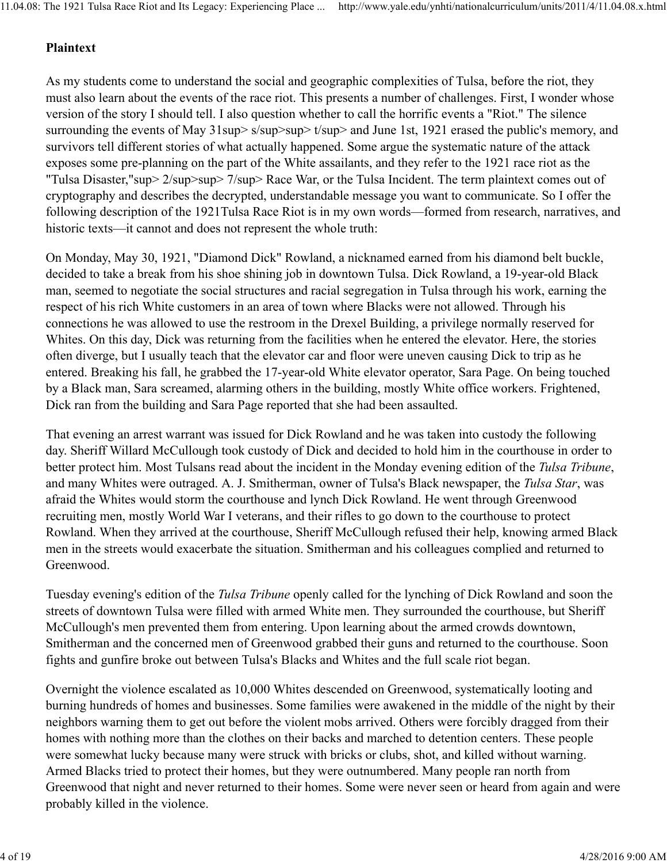#### Plaintext

As my students come to understand the social and geographic complexities of Tulsa, before the riot, they must also learn about the events of the race riot. This presents a number of challenges. First, I wonder whose version of the story I should tell. I also question whether to call the horrific events a "Riot." The silence surrounding the events of May 31sup> s/sup>sup> t/sup> and June 1st, 1921 erased the public's memory, and survivors tell different stories of what actually happened. Some argue the systematic nature of the attack exposes some pre-planning on the part of the White assailants, and they refer to the 1921 race riot as the "Tulsa Disaster,"sup> 2/sup>sup> 7/sup> Race War, or the Tulsa Incident. The term plaintext comes out of cryptography and describes the decrypted, understandable message you want to communicate. So I offer the following description of the 1921Tulsa Race Riot is in my own words—formed from research, narratives, and historic texts—it cannot and does not represent the whole truth:

On Monday, May 30, 1921, "Diamond Dick" Rowland, a nicknamed earned from his diamond belt buckle, decided to take a break from his shoe shining job in downtown Tulsa. Dick Rowland, a 19-year-old Black man, seemed to negotiate the social structures and racial segregation in Tulsa through his work, earning the respect of his rich White customers in an area of town where Blacks were not allowed. Through his connections he was allowed to use the restroom in the Drexel Building, a privilege normally reserved for Whites. On this day, Dick was returning from the facilities when he entered the elevator. Here, the stories often diverge, but I usually teach that the elevator car and floor were uneven causing Dick to trip as he entered. Breaking his fall, he grabbed the 17-year-old White elevator operator, Sara Page. On being touched by a Black man, Sara screamed, alarming others in the building, mostly White office workers. Frightened, Dick ran from the building and Sara Page reported that she had been assaulted.

That evening an arrest warrant was issued for Dick Rowland and he was taken into custody the following day. Sheriff Willard McCullough took custody of Dick and decided to hold him in the courthouse in order to better protect him. Most Tulsans read about the incident in the Monday evening edition of the *Tulsa Tribune*, and many Whites were outraged. A. J. Smitherman, owner of Tulsa's Black newspaper, the *Tulsa Star*, was afraid the Whites would storm the courthouse and lynch Dick Rowland. He went through Greenwood recruiting men, mostly World War I veterans, and their rifles to go down to the courthouse to protect Rowland. When they arrived at the courthouse, Sheriff McCullough refused their help, knowing armed Black men in the streets would exacerbate the situation. Smitherman and his colleagues complied and returned to Greenwood.

Tuesday evening's edition of the *Tulsa Tribune* openly called for the lynching of Dick Rowland and soon the streets of downtown Tulsa were filled with armed White men. They surrounded the courthouse, but Sheriff McCullough's men prevented them from entering. Upon learning about the armed crowds downtown, Smitherman and the concerned men of Greenwood grabbed their guns and returned to the courthouse. Soon fights and gunfire broke out between Tulsa's Blacks and Whites and the full scale riot began.

Overnight the violence escalated as 10,000 Whites descended on Greenwood, systematically looting and burning hundreds of homes and businesses. Some families were awakened in the middle of the night by their neighbors warning them to get out before the violent mobs arrived. Others were forcibly dragged from their homes with nothing more than the clothes on their backs and marched to detention centers. These people were somewhat lucky because many were struck with bricks or clubs, shot, and killed without warning. Armed Blacks tried to protect their homes, but they were outnumbered. Many people ran north from Greenwood that night and never returned to their homes. Some were never seen or heard from again and were probably killed in the violence.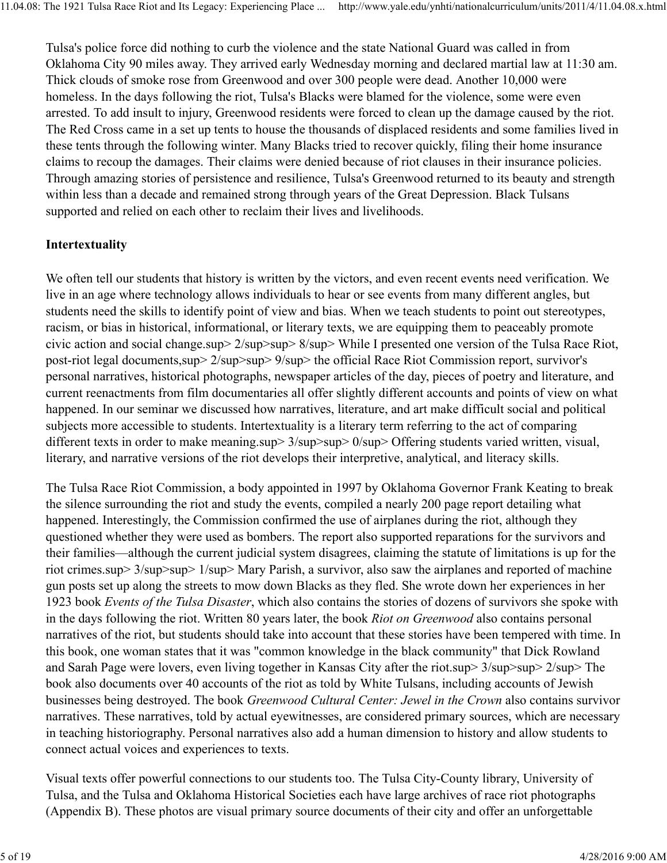Tulsa's police force did nothing to curb the violence and the state National Guard was called in from Oklahoma City 90 miles away. They arrived early Wednesday morning and declared martial law at 11:30 am. Thick clouds of smoke rose from Greenwood and over 300 people were dead. Another 10,000 were homeless. In the days following the riot, Tulsa's Blacks were blamed for the violence, some were even arrested. To add insult to injury, Greenwood residents were forced to clean up the damage caused by the riot. The Red Cross came in a set up tents to house the thousands of displaced residents and some families lived in these tents through the following winter. Many Blacks tried to recover quickly, filing their home insurance claims to recoup the damages. Their claims were denied because of riot clauses in their insurance policies. Through amazing stories of persistence and resilience, Tulsa's Greenwood returned to its beauty and strength within less than a decade and remained strong through years of the Great Depression. Black Tulsans supported and relied on each other to reclaim their lives and livelihoods.

### Intertextuality

We often tell our students that history is written by the victors, and even recent events need verification. We live in an age where technology allows individuals to hear or see events from many different angles, but students need the skills to identify point of view and bias. When we teach students to point out stereotypes, racism, or bias in historical, informational, or literary texts, we are equipping them to peaceably promote civic action and social change.sup> 2/sup>sup> 8/sup> While I presented one version of the Tulsa Race Riot, post-riot legal documents,sup> 2/sup>sup> 9/sup> the official Race Riot Commission report, survivor's personal narratives, historical photographs, newspaper articles of the day, pieces of poetry and literature, and current reenactments from film documentaries all offer slightly different accounts and points of view on what happened. In our seminar we discussed how narratives, literature, and art make difficult social and political subjects more accessible to students. Intertextuality is a literary term referring to the act of comparing different texts in order to make meaning.sup>  $3$ /sup>sup> 0/sup> Offering students varied written, visual, literary, and narrative versions of the riot develops their interpretive, analytical, and literacy skills.

The Tulsa Race Riot Commission, a body appointed in 1997 by Oklahoma Governor Frank Keating to break the silence surrounding the riot and study the events, compiled a nearly 200 page report detailing what happened. Interestingly, the Commission confirmed the use of airplanes during the riot, although they questioned whether they were used as bombers. The report also supported reparations for the survivors and their families—although the current judicial system disagrees, claiming the statute of limitations is up for the riot crimes.sup> 3/sup>sup> 1/sup> Mary Parish, a survivor, also saw the airplanes and reported of machine gun posts set up along the streets to mow down Blacks as they fled. She wrote down her experiences in her 1923 book *Events of the Tulsa Disaster*, which also contains the stories of dozens of survivors she spoke with in the days following the riot. Written 80 years later, the book *Riot on Greenwood* also contains personal narratives of the riot, but students should take into account that these stories have been tempered with time. In this book, one woman states that it was "common knowledge in the black community" that Dick Rowland and Sarah Page were lovers, even living together in Kansas City after the riot.sup> 3/sup>sup> 2/sup> The book also documents over 40 accounts of the riot as told by White Tulsans, including accounts of Jewish businesses being destroyed. The book *Greenwood Cultural Center: Jewel in the Crown* also contains survivor narratives. These narratives, told by actual eyewitnesses, are considered primary sources, which are necessary in teaching historiography. Personal narratives also add a human dimension to history and allow students to connect actual voices and experiences to texts.

Visual texts offer powerful connections to our students too. The Tulsa City-County library, University of Tulsa, and the Tulsa and Oklahoma Historical Societies each have large archives of race riot photographs (Appendix B). These photos are visual primary source documents of their city and offer an unforgettable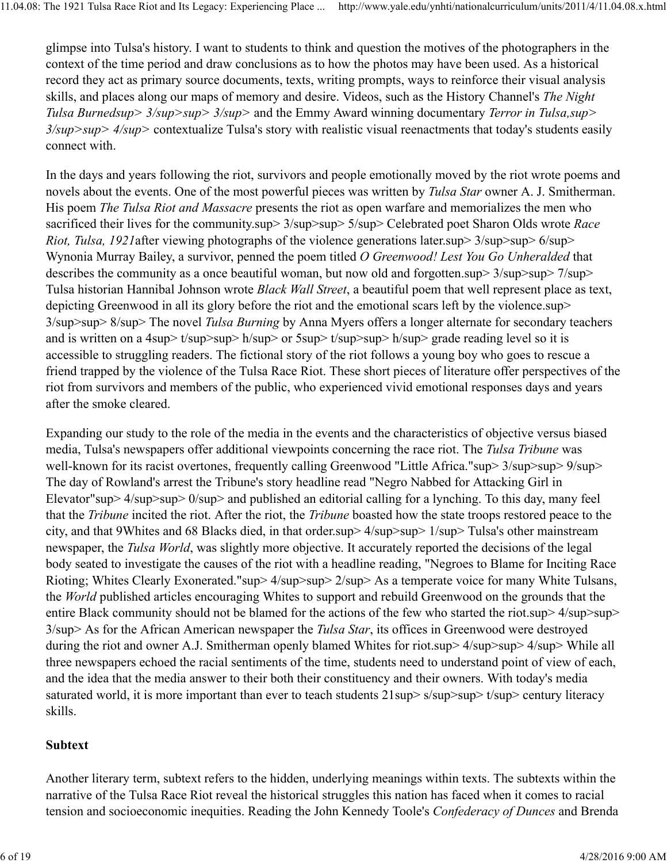glimpse into Tulsa's history. I want to students to think and question the motives of the photographers in the context of the time period and draw conclusions as to how the photos may have been used. As a historical record they act as primary source documents, texts, writing prompts, ways to reinforce their visual analysis skills, and places along our maps of memory and desire. Videos, such as the History Channel's *The Night Tulsa Burnedsup> 3/sup>sup> 3/sup>* and the Emmy Award winning documentary *Terror in Tulsa,sup> 3/sup>sup> 4/sup>* contextualize Tulsa's story with realistic visual reenactments that today's students easily connect with.

In the days and years following the riot, survivors and people emotionally moved by the riot wrote poems and novels about the events. One of the most powerful pieces was written by *Tulsa Star* owner A. J. Smitherman. His poem *The Tulsa Riot and Massacre* presents the riot as open warfare and memorializes the men who sacrificed their lives for the community.sup>  $3$ /sup>sup>  $5$ /sup> Celebrated poet Sharon Olds wrote *Race Riot, Tulsa, 1921*after viewing photographs of the violence generations later.sup> 3/sup>sup> 6/sup> Wynonia Murray Bailey, a survivor, penned the poem titled *O Greenwood! Lest You Go Unheralded* that describes the community as a once beautiful woman, but now old and forgotten.sup>  $3$ /sup>sup>  $7$ /sup> Tulsa historian Hannibal Johnson wrote *Black Wall Street*, a beautiful poem that well represent place as text, depicting Greenwood in all its glory before the riot and the emotional scars left by the violence.sup> 3/sup>sup> 8/sup> The novel *Tulsa Burning* by Anna Myers offers a longer alternate for secondary teachers and is written on a 4sup> t/sup>sup> h/sup> or 5sup> t/sup>sup> h/sup> grade reading level so it is accessible to struggling readers. The fictional story of the riot follows a young boy who goes to rescue a friend trapped by the violence of the Tulsa Race Riot. These short pieces of literature offer perspectives of the riot from survivors and members of the public, who experienced vivid emotional responses days and years after the smoke cleared.

Expanding our study to the role of the media in the events and the characteristics of objective versus biased media, Tulsa's newspapers offer additional viewpoints concerning the race riot. The *Tulsa Tribune* was well-known for its racist overtones, frequently calling Greenwood "Little Africa."sup> 3/sup>sup> 9/sup> The day of Rowland's arrest the Tribune's story headline read "Negro Nabbed for Attacking Girl in Elevator"sup>  $4$ /sup>sup>  $0$ /sup> and published an editorial calling for a lynching. To this day, many feel that the *Tribune* incited the riot. After the riot, the *Tribune* boasted how the state troops restored peace to the city, and that 9Whites and 68 Blacks died, in that order.sup> 4/sup>sup> 1/sup> Tulsa's other mainstream newspaper, the *Tulsa World*, was slightly more objective. It accurately reported the decisions of the legal body seated to investigate the causes of the riot with a headline reading, "Negroes to Blame for Inciting Race Rioting; Whites Clearly Exonerated."sup> 4/sup>sup> 2/sup> As a temperate voice for many White Tulsans, the *World* published articles encouraging Whites to support and rebuild Greenwood on the grounds that the entire Black community should not be blamed for the actions of the few who started the riot.sup> 4/sup>sup> 3/sup> As for the African American newspaper the *Tulsa Star*, its offices in Greenwood were destroyed during the riot and owner A.J. Smitherman openly blamed Whites for riot.sup> 4/sup>sup> 4/sup> While all three newspapers echoed the racial sentiments of the time, students need to understand point of view of each, and the idea that the media answer to their both their constituency and their owners. With today's media saturated world, it is more important than ever to teach students  $21$ sup> s/sup>sup> t/sup> century literacy skills.

### Subtext

Another literary term, subtext refers to the hidden, underlying meanings within texts. The subtexts within the narrative of the Tulsa Race Riot reveal the historical struggles this nation has faced when it comes to racial tension and socioeconomic inequities. Reading the John Kennedy Toole's *Confederacy of Dunces* and Brenda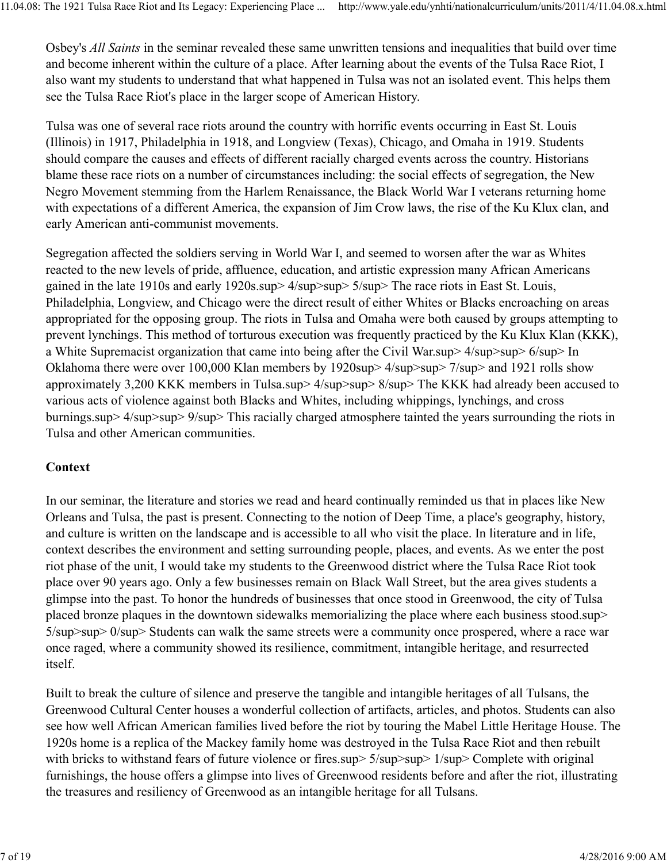Osbey's *All Saints* in the seminar revealed these same unwritten tensions and inequalities that build over time and become inherent within the culture of a place. After learning about the events of the Tulsa Race Riot, I also want my students to understand that what happened in Tulsa was not an isolated event. This helps them see the Tulsa Race Riot's place in the larger scope of American History.

Tulsa was one of several race riots around the country with horrific events occurring in East St. Louis (Illinois) in 1917, Philadelphia in 1918, and Longview (Texas), Chicago, and Omaha in 1919. Students should compare the causes and effects of different racially charged events across the country. Historians blame these race riots on a number of circumstances including: the social effects of segregation, the New Negro Movement stemming from the Harlem Renaissance, the Black World War I veterans returning home with expectations of a different America, the expansion of Jim Crow laws, the rise of the Ku Klux clan, and early American anti-communist movements.

Segregation affected the soldiers serving in World War I, and seemed to worsen after the war as Whites reacted to the new levels of pride, affluence, education, and artistic expression many African Americans gained in the late 1910s and early 1920s.sup> 4/sup>sup> 5/sup> The race riots in East St. Louis, Philadelphia, Longview, and Chicago were the direct result of either Whites or Blacks encroaching on areas appropriated for the opposing group. The riots in Tulsa and Omaha were both caused by groups attempting to prevent lynchings. This method of torturous execution was frequently practiced by the Ku Klux Klan (KKK), a White Supremacist organization that came into being after the Civil War.sup> 4/sup>sup> 6/sup> In Oklahoma there were over 100,000 Klan members by 1920sup> 4/sup>sup> 7/sup> and 1921 rolls show approximately 3,200 KKK members in Tulsa.sup> 4/sup>sup> 8/sup> The KKK had already been accused to various acts of violence against both Blacks and Whites, including whippings, lynchings, and cross burnings.sup> 4/sup>sup> 9/sup> This racially charged atmosphere tainted the years surrounding the riots in Tulsa and other American communities.

### Context

In our seminar, the literature and stories we read and heard continually reminded us that in places like New Orleans and Tulsa, the past is present. Connecting to the notion of Deep Time, a place's geography, history, and culture is written on the landscape and is accessible to all who visit the place. In literature and in life, context describes the environment and setting surrounding people, places, and events. As we enter the post riot phase of the unit, I would take my students to the Greenwood district where the Tulsa Race Riot took place over 90 years ago. Only a few businesses remain on Black Wall Street, but the area gives students a glimpse into the past. To honor the hundreds of businesses that once stood in Greenwood, the city of Tulsa placed bronze plaques in the downtown sidewalks memorializing the place where each business stood.sup> 5/sup>sup> 0/sup> Students can walk the same streets were a community once prospered, where a race war once raged, where a community showed its resilience, commitment, intangible heritage, and resurrected itself.

Built to break the culture of silence and preserve the tangible and intangible heritages of all Tulsans, the Greenwood Cultural Center houses a wonderful collection of artifacts, articles, and photos. Students can also see how well African American families lived before the riot by touring the Mabel Little Heritage House. The 1920s home is a replica of the Mackey family home was destroyed in the Tulsa Race Riot and then rebuilt with bricks to withstand fears of future violence or fires.sup> 5/sup>sup> 1/sup> Complete with original furnishings, the house offers a glimpse into lives of Greenwood residents before and after the riot, illustrating the treasures and resiliency of Greenwood as an intangible heritage for all Tulsans.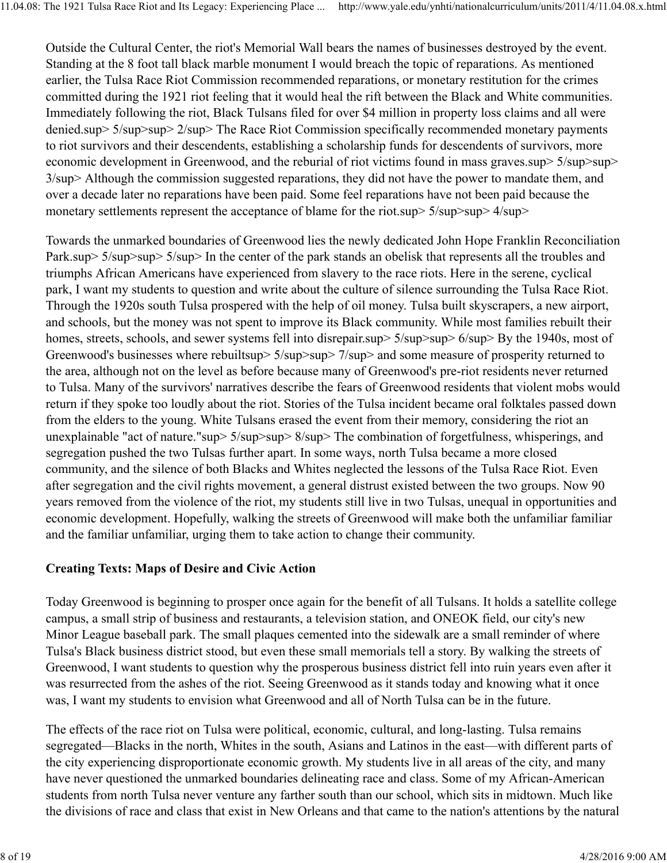Outside the Cultural Center, the riot's Memorial Wall bears the names of businesses destroyed by the event. Standing at the 8 foot tall black marble monument I would breach the topic of reparations. As mentioned earlier, the Tulsa Race Riot Commission recommended reparations, or monetary restitution for the crimes committed during the 1921 riot feeling that it would heal the rift between the Black and White communities. Immediately following the riot, Black Tulsans filed for over \$4 million in property loss claims and all were denied.sup> 5/sup>sup> 2/sup> The Race Riot Commission specifically recommended monetary payments to riot survivors and their descendents, establishing a scholarship funds for descendents of survivors, more economic development in Greenwood, and the reburial of riot victims found in mass graves.sup> 5/sup>sup> 3/sup> Although the commission suggested reparations, they did not have the power to mandate them, and over a decade later no reparations have been paid. Some feel reparations have not been paid because the monetary settlements represent the acceptance of blame for the riot.sup> 5/sup>sup> 4/sup>

Towards the unmarked boundaries of Greenwood lies the newly dedicated John Hope Franklin Reconciliation Park.sup> 5/sup>sup> 5/sup> In the center of the park stands an obelisk that represents all the troubles and triumphs African Americans have experienced from slavery to the race riots. Here in the serene, cyclical park, I want my students to question and write about the culture of silence surrounding the Tulsa Race Riot. Through the 1920s south Tulsa prospered with the help of oil money. Tulsa built skyscrapers, a new airport, and schools, but the money was not spent to improve its Black community. While most families rebuilt their homes, streets, schools, and sewer systems fell into disrepair.sup> 5/sup>sup> 6/sup> By the 1940s, most of Greenwood's businesses where rebuiltsup> 5/sup>sup> 7/sup> and some measure of prosperity returned to the area, although not on the level as before because many of Greenwood's pre-riot residents never returned to Tulsa. Many of the survivors' narratives describe the fears of Greenwood residents that violent mobs would return if they spoke too loudly about the riot. Stories of the Tulsa incident became oral folktales passed down from the elders to the young. White Tulsans erased the event from their memory, considering the riot an unexplainable "act of nature."sup> 5/sup>sup> 8/sup> The combination of forgetfulness, whisperings, and segregation pushed the two Tulsas further apart. In some ways, north Tulsa became a more closed community, and the silence of both Blacks and Whites neglected the lessons of the Tulsa Race Riot. Even after segregation and the civil rights movement, a general distrust existed between the two groups. Now 90 years removed from the violence of the riot, my students still live in two Tulsas, unequal in opportunities and economic development. Hopefully, walking the streets of Greenwood will make both the unfamiliar familiar and the familiar unfamiliar, urging them to take action to change their community.

#### Creating Texts: Maps of Desire and Civic Action

Today Greenwood is beginning to prosper once again for the benefit of all Tulsans. It holds a satellite college campus, a small strip of business and restaurants, a television station, and ONEOK field, our city's new Minor League baseball park. The small plaques cemented into the sidewalk are a small reminder of where Tulsa's Black business district stood, but even these small memorials tell a story. By walking the streets of Greenwood, I want students to question why the prosperous business district fell into ruin years even after it was resurrected from the ashes of the riot. Seeing Greenwood as it stands today and knowing what it once was, I want my students to envision what Greenwood and all of North Tulsa can be in the future.

The effects of the race riot on Tulsa were political, economic, cultural, and long-lasting. Tulsa remains segregated—Blacks in the north, Whites in the south, Asians and Latinos in the east—with different parts of the city experiencing disproportionate economic growth. My students live in all areas of the city, and many have never questioned the unmarked boundaries delineating race and class. Some of my African-American students from north Tulsa never venture any farther south than our school, which sits in midtown. Much like the divisions of race and class that exist in New Orleans and that came to the nation's attentions by the natural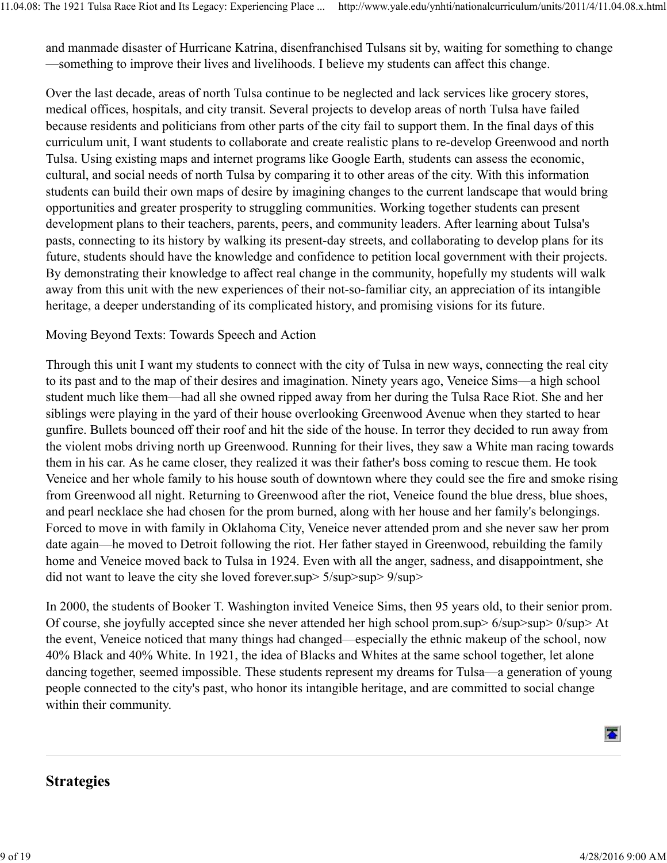and manmade disaster of Hurricane Katrina, disenfranchised Tulsans sit by, waiting for something to change —something to improve their lives and livelihoods. I believe my students can affect this change.

Over the last decade, areas of north Tulsa continue to be neglected and lack services like grocery stores, medical offices, hospitals, and city transit. Several projects to develop areas of north Tulsa have failed because residents and politicians from other parts of the city fail to support them. In the final days of this curriculum unit, I want students to collaborate and create realistic plans to re-develop Greenwood and north Tulsa. Using existing maps and internet programs like Google Earth, students can assess the economic, cultural, and social needs of north Tulsa by comparing it to other areas of the city. With this information students can build their own maps of desire by imagining changes to the current landscape that would bring opportunities and greater prosperity to struggling communities. Working together students can present development plans to their teachers, parents, peers, and community leaders. After learning about Tulsa's pasts, connecting to its history by walking its present-day streets, and collaborating to develop plans for its future, students should have the knowledge and confidence to petition local government with their projects. By demonstrating their knowledge to affect real change in the community, hopefully my students will walk away from this unit with the new experiences of their not-so-familiar city, an appreciation of its intangible heritage, a deeper understanding of its complicated history, and promising visions for its future.

#### Moving Beyond Texts: Towards Speech and Action

Through this unit I want my students to connect with the city of Tulsa in new ways, connecting the real city to its past and to the map of their desires and imagination. Ninety years ago, Veneice Sims—a high school student much like them—had all she owned ripped away from her during the Tulsa Race Riot. She and her siblings were playing in the yard of their house overlooking Greenwood Avenue when they started to hear gunfire. Bullets bounced off their roof and hit the side of the house. In terror they decided to run away from the violent mobs driving north up Greenwood. Running for their lives, they saw a White man racing towards them in his car. As he came closer, they realized it was their father's boss coming to rescue them. He took Veneice and her whole family to his house south of downtown where they could see the fire and smoke rising from Greenwood all night. Returning to Greenwood after the riot, Veneice found the blue dress, blue shoes, and pearl necklace she had chosen for the prom burned, along with her house and her family's belongings. Forced to move in with family in Oklahoma City, Veneice never attended prom and she never saw her prom date again—he moved to Detroit following the riot. Her father stayed in Greenwood, rebuilding the family home and Veneice moved back to Tulsa in 1924. Even with all the anger, sadness, and disappointment, she did not want to leave the city she loved forever.sup > 5/sup > 9/sup > 9/sup >

In 2000, the students of Booker T. Washington invited Veneice Sims, then 95 years old, to their senior prom. Of course, she joyfully accepted since she never attended her high school prom.sup> 6/sup>sup> 0/sup> At the event, Veneice noticed that many things had changed—especially the ethnic makeup of the school, now 40% Black and 40% White. In 1921, the idea of Blacks and Whites at the same school together, let alone dancing together, seemed impossible. These students represent my dreams for Tulsa—a generation of young people connected to the city's past, who honor its intangible heritage, and are committed to social change within their community.



# Strategies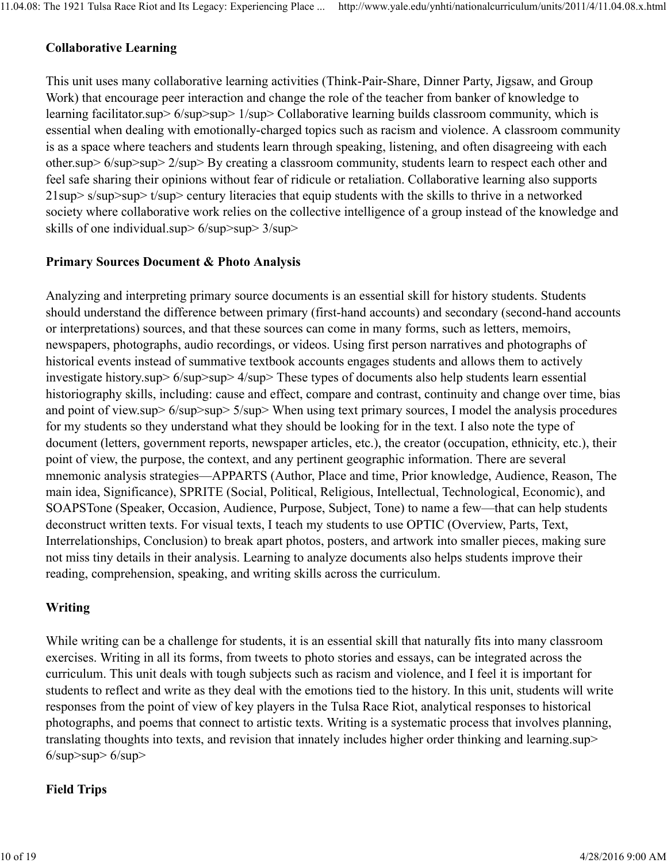### Collaborative Learning

This unit uses many collaborative learning activities (Think-Pair-Share, Dinner Party, Jigsaw, and Group Work) that encourage peer interaction and change the role of the teacher from banker of knowledge to learning facilitator.sup> 6/sup>sup> 1/sup> Collaborative learning builds classroom community, which is essential when dealing with emotionally-charged topics such as racism and violence. A classroom community is as a space where teachers and students learn through speaking, listening, and often disagreeing with each other.sup> 6/sup>sup> 2/sup> By creating a classroom community, students learn to respect each other and feel safe sharing their opinions without fear of ridicule or retaliation. Collaborative learning also supports 21sup> s/sup>sup> t/sup> century literacies that equip students with the skills to thrive in a networked society where collaborative work relies on the collective intelligence of a group instead of the knowledge and skills of one individual.sup> 6/sup>sup> 3/sup>

#### Primary Sources Document & Photo Analysis

Analyzing and interpreting primary source documents is an essential skill for history students. Students should understand the difference between primary (first-hand accounts) and secondary (second-hand accounts or interpretations) sources, and that these sources can come in many forms, such as letters, memoirs, newspapers, photographs, audio recordings, or videos. Using first person narratives and photographs of historical events instead of summative textbook accounts engages students and allows them to actively investigate history.sup> 6/sup>sup> 4/sup> These types of documents also help students learn essential historiography skills, including: cause and effect, compare and contrast, continuity and change over time, bias and point of view.sup> 6/sup>sup> 5/sup> When using text primary sources, I model the analysis procedures for my students so they understand what they should be looking for in the text. I also note the type of document (letters, government reports, newspaper articles, etc.), the creator (occupation, ethnicity, etc.), their point of view, the purpose, the context, and any pertinent geographic information. There are several mnemonic analysis strategies—APPARTS (Author, Place and time, Prior knowledge, Audience, Reason, The main idea, Significance), SPRITE (Social, Political, Religious, Intellectual, Technological, Economic), and SOAPSTone (Speaker, Occasion, Audience, Purpose, Subject, Tone) to name a few—that can help students deconstruct written texts. For visual texts, I teach my students to use OPTIC (Overview, Parts, Text, Interrelationships, Conclusion) to break apart photos, posters, and artwork into smaller pieces, making sure not miss tiny details in their analysis. Learning to analyze documents also helps students improve their reading, comprehension, speaking, and writing skills across the curriculum.

### Writing

While writing can be a challenge for students, it is an essential skill that naturally fits into many classroom exercises. Writing in all its forms, from tweets to photo stories and essays, can be integrated across the curriculum. This unit deals with tough subjects such as racism and violence, and I feel it is important for students to reflect and write as they deal with the emotions tied to the history. In this unit, students will write responses from the point of view of key players in the Tulsa Race Riot, analytical responses to historical photographs, and poems that connect to artistic texts. Writing is a systematic process that involves planning, translating thoughts into texts, and revision that innately includes higher order thinking and learning.sup>  $6$ /sup>sup> $6$ /sup>

#### Field Trips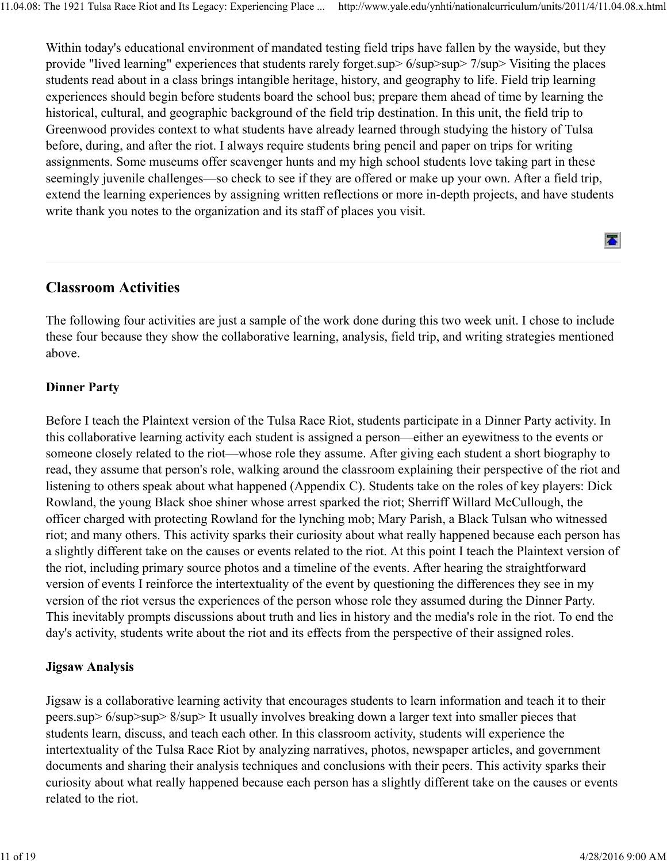Within today's educational environment of mandated testing field trips have fallen by the wayside, but they provide "lived learning" experiences that students rarely forget.sup> 6/sup>sup> 7/sup> Visiting the places students read about in a class brings intangible heritage, history, and geography to life. Field trip learning experiences should begin before students board the school bus; prepare them ahead of time by learning the historical, cultural, and geographic background of the field trip destination. In this unit, the field trip to Greenwood provides context to what students have already learned through studying the history of Tulsa before, during, and after the riot. I always require students bring pencil and paper on trips for writing assignments. Some museums offer scavenger hunts and my high school students love taking part in these seemingly juvenile challenges—so check to see if they are offered or make up your own. After a field trip, extend the learning experiences by assigning written reflections or more in-depth projects, and have students write thank you notes to the organization and its staff of places you visit.

 $\overline{\bullet}$ 

## Classroom Activities

The following four activities are just a sample of the work done during this two week unit. I chose to include these four because they show the collaborative learning, analysis, field trip, and writing strategies mentioned above.

#### Dinner Party

Before I teach the Plaintext version of the Tulsa Race Riot, students participate in a Dinner Party activity. In this collaborative learning activity each student is assigned a person—either an eyewitness to the events or someone closely related to the riot—whose role they assume. After giving each student a short biography to read, they assume that person's role, walking around the classroom explaining their perspective of the riot and listening to others speak about what happened (Appendix C). Students take on the roles of key players: Dick Rowland, the young Black shoe shiner whose arrest sparked the riot; Sherriff Willard McCullough, the officer charged with protecting Rowland for the lynching mob; Mary Parish, a Black Tulsan who witnessed riot; and many others. This activity sparks their curiosity about what really happened because each person has a slightly different take on the causes or events related to the riot. At this point I teach the Plaintext version of the riot, including primary source photos and a timeline of the events. After hearing the straightforward version of events I reinforce the intertextuality of the event by questioning the differences they see in my version of the riot versus the experiences of the person whose role they assumed during the Dinner Party. This inevitably prompts discussions about truth and lies in history and the media's role in the riot. To end the day's activity, students write about the riot and its effects from the perspective of their assigned roles.

#### Jigsaw Analysis

Jigsaw is a collaborative learning activity that encourages students to learn information and teach it to their peers.sup> 6/sup>sup> 8/sup> It usually involves breaking down a larger text into smaller pieces that students learn, discuss, and teach each other. In this classroom activity, students will experience the intertextuality of the Tulsa Race Riot by analyzing narratives, photos, newspaper articles, and government documents and sharing their analysis techniques and conclusions with their peers. This activity sparks their curiosity about what really happened because each person has a slightly different take on the causes or events related to the riot.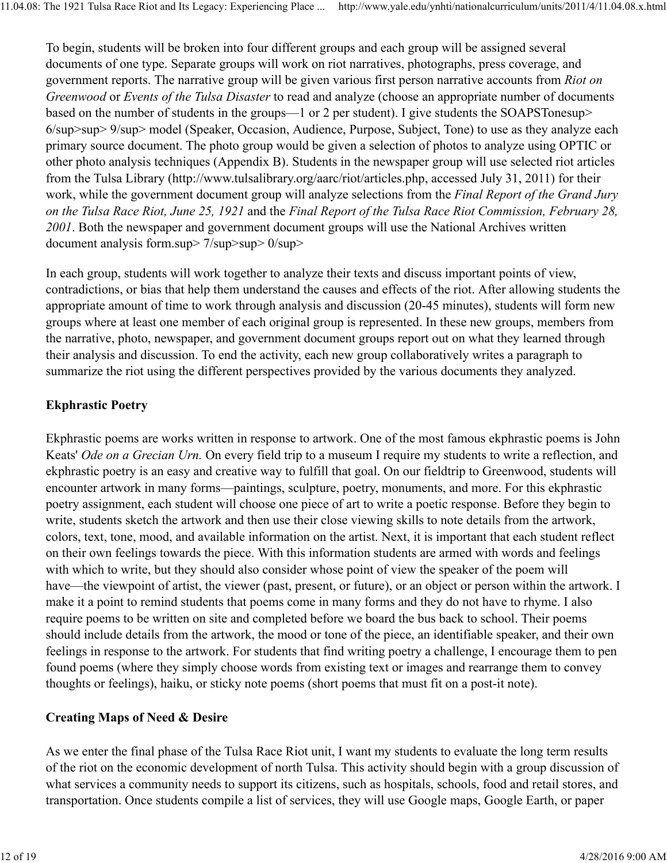To begin, students will be broken into four different groups and each group will be assigned several documents of one type. Separate groups will work on riot narratives, photographs, press coverage, and government reports. The narrative group will be given various first person narrative accounts from *Riot on Greenwood* or *Events of the Tulsa Disaster* to read and analyze (choose an appropriate number of documents based on the number of students in the groups—1 or 2 per student). I give students the SOAPSTonesup> 6/sup>sup> 9/sup> model (Speaker, Occasion, Audience, Purpose, Subject, Tone) to use as they analyze each primary source document. The photo group would be given a selection of photos to analyze using OPTIC or other photo analysis techniques (Appendix B). Students in the newspaper group will use selected riot articles from the Tulsa Library (http://www.tulsalibrary.org/aarc/riot/articles.php, accessed July 31, 2011) for their work, while the government document group will analyze selections from the *Final Report of the Grand Jury on the Tulsa Race Riot, June 25, 1921* and the *Final Report of the Tulsa Race Riot Commission, February 28, 2001*. Both the newspaper and government document groups will use the National Archives written document analysis form.sup> 7/sup>sup> 0/sup>

In each group, students will work together to analyze their texts and discuss important points of view, contradictions, or bias that help them understand the causes and effects of the riot. After allowing students the appropriate amount of time to work through analysis and discussion (20-45 minutes), students will form new groups where at least one member of each original group is represented. In these new groups, members from the narrative, photo, newspaper, and government document groups report out on what they learned through their analysis and discussion. To end the activity, each new group collaboratively writes a paragraph to summarize the riot using the different perspectives provided by the various documents they analyzed.

## Ekphrastic Poetry

Ekphrastic poems are works written in response to artwork. One of the most famous ekphrastic poems is John Keats' *Ode on a Grecian Urn.* On every field trip to a museum I require my students to write a reflection, and ekphrastic poetry is an easy and creative way to fulfill that goal. On our fieldtrip to Greenwood, students will encounter artwork in many forms—paintings, sculpture, poetry, monuments, and more. For this ekphrastic poetry assignment, each student will choose one piece of art to write a poetic response. Before they begin to write, students sketch the artwork and then use their close viewing skills to note details from the artwork, colors, text, tone, mood, and available information on the artist. Next, it is important that each student reflect on their own feelings towards the piece. With this information students are armed with words and feelings with which to write, but they should also consider whose point of view the speaker of the poem will have—the viewpoint of artist, the viewer (past, present, or future), or an object or person within the artwork. I make it a point to remind students that poems come in many forms and they do not have to rhyme. I also require poems to be written on site and completed before we board the bus back to school. Their poems should include details from the artwork, the mood or tone of the piece, an identifiable speaker, and their own feelings in response to the artwork. For students that find writing poetry a challenge, I encourage them to pen found poems (where they simply choose words from existing text or images and rearrange them to convey thoughts or feelings), haiku, or sticky note poems (short poems that must fit on a post-it note).

### Creating Maps of Need & Desire

As we enter the final phase of the Tulsa Race Riot unit, I want my students to evaluate the long term results of the riot on the economic development of north Tulsa. This activity should begin with a group discussion of what services a community needs to support its citizens, such as hospitals, schools, food and retail stores, and transportation. Once students compile a list of services, they will use Google maps, Google Earth, or paper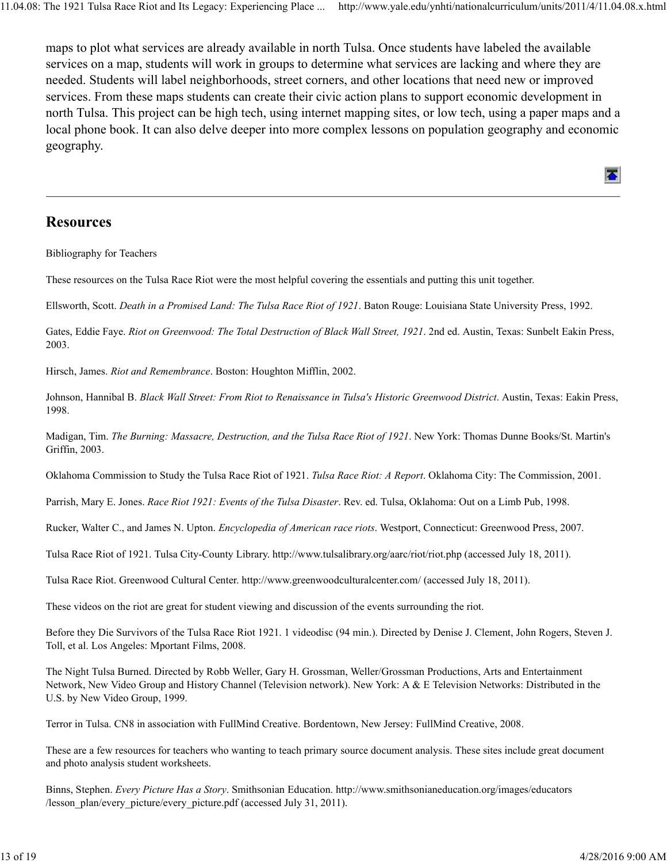maps to plot what services are already available in north Tulsa. Once students have labeled the available services on a map, students will work in groups to determine what services are lacking and where they are needed. Students will label neighborhoods, street corners, and other locations that need new or improved services. From these maps students can create their civic action plans to support economic development in north Tulsa. This project can be high tech, using internet mapping sites, or low tech, using a paper maps and a local phone book. It can also delve deeper into more complex lessons on population geography and economic geography.

#### **Resources**

Bibliography for Teachers

These resources on the Tulsa Race Riot were the most helpful covering the essentials and putting this unit together.

Ellsworth, Scott. *Death in a Promised Land: The Tulsa Race Riot of 1921*. Baton Rouge: Louisiana State University Press, 1992.

Gates, Eddie Faye. *Riot on Greenwood: The Total Destruction of Black Wall Street, 1921*. 2nd ed. Austin, Texas: Sunbelt Eakin Press, 2003.

Hirsch, James. *Riot and Remembrance*. Boston: Houghton Mifflin, 2002.

Johnson, Hannibal B. *Black Wall Street: From Riot to Renaissance in Tulsa's Historic Greenwood District*. Austin, Texas: Eakin Press, 1998.

Madigan, Tim. *The Burning: Massacre, Destruction, and the Tulsa Race Riot of 1921*. New York: Thomas Dunne Books/St. Martin's Griffin, 2003.

Oklahoma Commission to Study the Tulsa Race Riot of 1921. *Tulsa Race Riot: A Report*. Oklahoma City: The Commission, 2001.

Parrish, Mary E. Jones. *Race Riot 1921: Events of the Tulsa Disaster*. Rev. ed. Tulsa, Oklahoma: Out on a Limb Pub, 1998.

Rucker, Walter C., and James N. Upton. *Encyclopedia of American race riots*. Westport, Connecticut: Greenwood Press, 2007.

Tulsa Race Riot of 1921. Tulsa City-County Library. http://www.tulsalibrary.org/aarc/riot/riot.php (accessed July 18, 2011).

Tulsa Race Riot. Greenwood Cultural Center. http://www.greenwoodculturalcenter.com/ (accessed July 18, 2011).

These videos on the riot are great for student viewing and discussion of the events surrounding the riot.

Before they Die Survivors of the Tulsa Race Riot 1921. 1 videodisc (94 min.). Directed by Denise J. Clement, John Rogers, Steven J. Toll, et al. Los Angeles: Mportant Films, 2008.

The Night Tulsa Burned. Directed by Robb Weller, Gary H. Grossman, Weller/Grossman Productions, Arts and Entertainment Network, New Video Group and History Channel (Television network). New York: A & E Television Networks: Distributed in the U.S. by New Video Group, 1999.

Terror in Tulsa. CN8 in association with FullMind Creative. Bordentown, New Jersey: FullMind Creative, 2008.

These are a few resources for teachers who wanting to teach primary source document analysis. These sites include great document and photo analysis student worksheets.

Binns, Stephen. *Every Picture Has a Story*. Smithsonian Education. http://www.smithsonianeducation.org/images/educators /lesson\_plan/every\_picture/every\_picture.pdf (accessed July 31, 2011).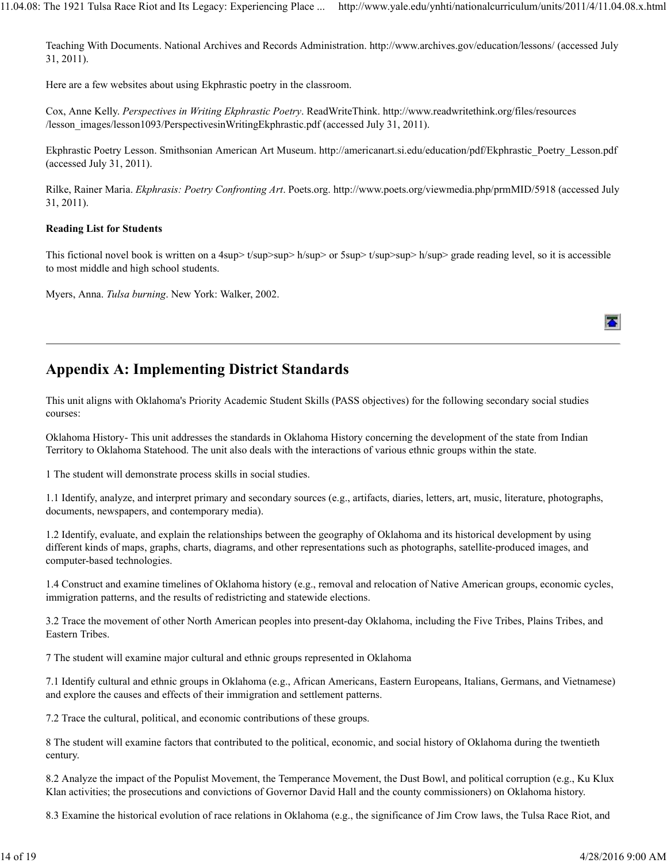Teaching With Documents. National Archives and Records Administration. http://www.archives.gov/education/lessons/ (accessed July 31, 2011).

Here are a few websites about using Ekphrastic poetry in the classroom.

Cox, Anne Kelly. *Perspectives in Writing Ekphrastic Poetry*. ReadWriteThink. http://www.readwritethink.org/files/resources /lesson\_images/lesson1093/PerspectivesinWritingEkphrastic.pdf (accessed July 31, 2011).

Ekphrastic Poetry Lesson. Smithsonian American Art Museum. http://americanart.si.edu/education/pdf/Ekphrastic\_Poetry\_Lesson.pdf (accessed July 31, 2011).

Rilke, Rainer Maria. *Ekphrasis: Poetry Confronting Art*. Poets.org. http://www.poets.org/viewmedia.php/prmMID/5918 (accessed July 31, 2011).

#### Reading List for Students

This fictional novel book is written on a 4sup>  $t$ /sup>sup> h/sup> or  $5$ sup>  $t$ /sup>sup> h/sup> grade reading level, so it is accessible to most middle and high school students.

Myers, Anna. *Tulsa burning*. New York: Walker, 2002.

# Appendix A: Implementing District Standards

This unit aligns with Oklahoma's Priority Academic Student Skills (PASS objectives) for the following secondary social studies courses:

Oklahoma History- This unit addresses the standards in Oklahoma History concerning the development of the state from Indian Territory to Oklahoma Statehood. The unit also deals with the interactions of various ethnic groups within the state.

1 The student will demonstrate process skills in social studies.

1.1 Identify, analyze, and interpret primary and secondary sources (e.g., artifacts, diaries, letters, art, music, literature, photographs, documents, newspapers, and contemporary media).

1.2 Identify, evaluate, and explain the relationships between the geography of Oklahoma and its historical development by using different kinds of maps, graphs, charts, diagrams, and other representations such as photographs, satellite-produced images, and computer-based technologies.

1.4 Construct and examine timelines of Oklahoma history (e.g., removal and relocation of Native American groups, economic cycles, immigration patterns, and the results of redistricting and statewide elections.

3.2 Trace the movement of other North American peoples into present-day Oklahoma, including the Five Tribes, Plains Tribes, and Eastern Tribes.

7 The student will examine major cultural and ethnic groups represented in Oklahoma

7.1 Identify cultural and ethnic groups in Oklahoma (e.g., African Americans, Eastern Europeans, Italians, Germans, and Vietnamese) and explore the causes and effects of their immigration and settlement patterns.

7.2 Trace the cultural, political, and economic contributions of these groups.

8 The student will examine factors that contributed to the political, economic, and social history of Oklahoma during the twentieth century.

8.2 Analyze the impact of the Populist Movement, the Temperance Movement, the Dust Bowl, and political corruption (e.g., Ku Klux Klan activities; the prosecutions and convictions of Governor David Hall and the county commissioners) on Oklahoma history.

8.3 Examine the historical evolution of race relations in Oklahoma (e.g., the significance of Jim Crow laws, the Tulsa Race Riot, and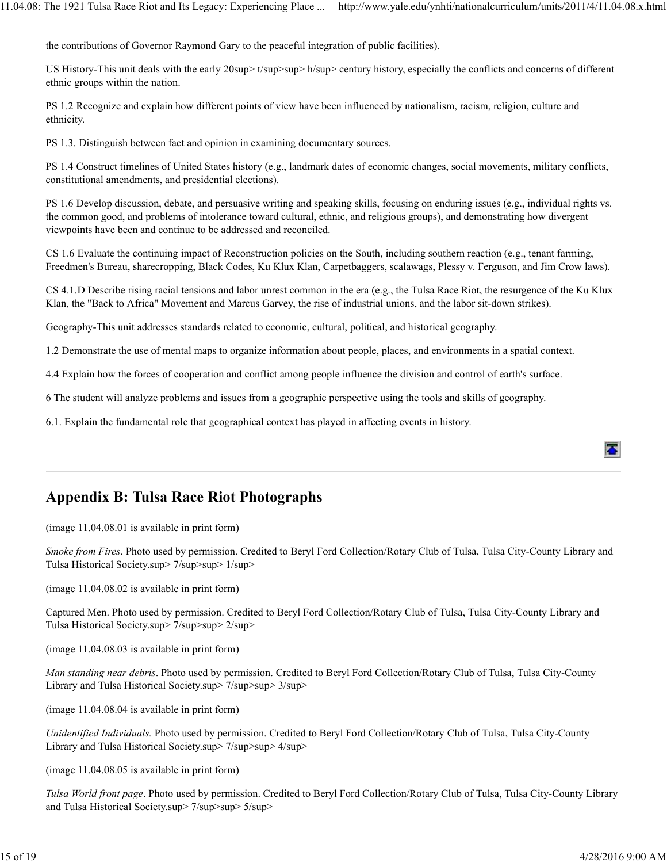the contributions of Governor Raymond Gary to the peaceful integration of public facilities).

US History-This unit deals with the early 20sup> t/sup>sup> h/sup> century history, especially the conflicts and concerns of different ethnic groups within the nation.

PS 1.2 Recognize and explain how different points of view have been influenced by nationalism, racism, religion, culture and ethnicity.

PS 1.3. Distinguish between fact and opinion in examining documentary sources.

PS 1.4 Construct timelines of United States history (e.g., landmark dates of economic changes, social movements, military conflicts, constitutional amendments, and presidential elections).

PS 1.6 Develop discussion, debate, and persuasive writing and speaking skills, focusing on enduring issues (e.g., individual rights vs. the common good, and problems of intolerance toward cultural, ethnic, and religious groups), and demonstrating how divergent viewpoints have been and continue to be addressed and reconciled.

CS 1.6 Evaluate the continuing impact of Reconstruction policies on the South, including southern reaction (e.g., tenant farming, Freedmen's Bureau, sharecropping, Black Codes, Ku Klux Klan, Carpetbaggers, scalawags, Plessy v. Ferguson, and Jim Crow laws).

CS 4.1.D Describe rising racial tensions and labor unrest common in the era (e.g., the Tulsa Race Riot, the resurgence of the Ku Klux Klan, the "Back to Africa" Movement and Marcus Garvey, the rise of industrial unions, and the labor sit-down strikes).

Geography-This unit addresses standards related to economic, cultural, political, and historical geography.

1.2 Demonstrate the use of mental maps to organize information about people, places, and environments in a spatial context.

4.4 Explain how the forces of cooperation and conflict among people influence the division and control of earth's surface.

6 The student will analyze problems and issues from a geographic perspective using the tools and skills of geography.

6.1. Explain the fundamental role that geographical context has played in affecting events in history.

# Appendix B: Tulsa Race Riot Photographs

(image 11.04.08.01 is available in print form)

*Smoke from Fires*. Photo used by permission. Credited to Beryl Ford Collection/Rotary Club of Tulsa, Tulsa City-County Library and Tulsa Historical Society.sup> 7/sup>sup> 1/sup>

(image 11.04.08.02 is available in print form)

Captured Men. Photo used by permission. Credited to Beryl Ford Collection/Rotary Club of Tulsa, Tulsa City-County Library and Tulsa Historical Society.sup> 7/sup>sup> 2/sup>

(image 11.04.08.03 is available in print form)

*Man standing near debris*. Photo used by permission. Credited to Beryl Ford Collection/Rotary Club of Tulsa, Tulsa City-County Library and Tulsa Historical Society.sup> 7/sup>sup> 3/sup>

(image 11.04.08.04 is available in print form)

*Unidentified Individuals.* Photo used by permission. Credited to Beryl Ford Collection/Rotary Club of Tulsa, Tulsa City-County Library and Tulsa Historical Society.sup> 7/sup>sup> 4/sup>

(image 11.04.08.05 is available in print form)

*Tulsa World front page*. Photo used by permission. Credited to Beryl Ford Collection/Rotary Club of Tulsa, Tulsa City-County Library and Tulsa Historical Society.sup> 7/sup>sup> 5/sup>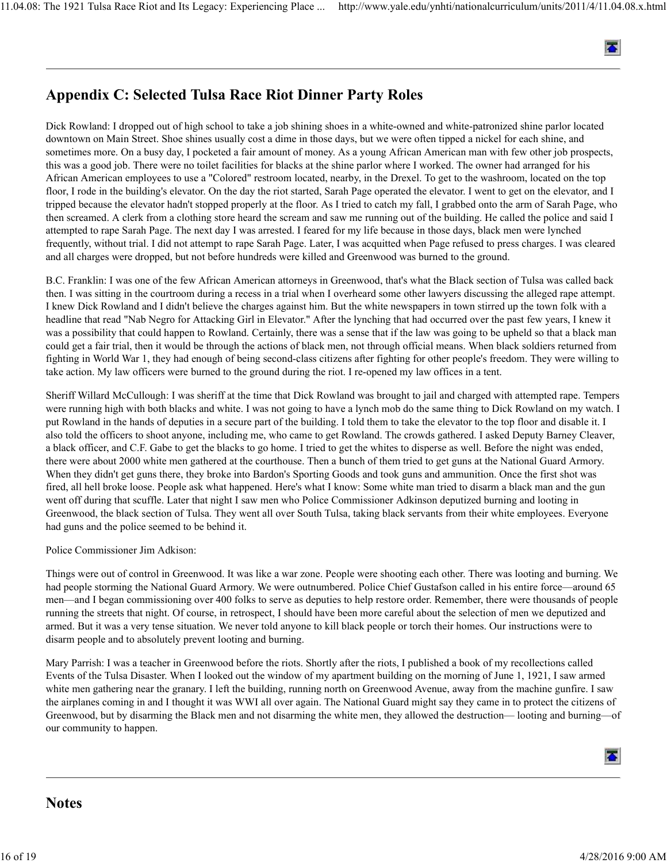

# Appendix C: Selected Tulsa Race Riot Dinner Party Roles

Dick Rowland: I dropped out of high school to take a job shining shoes in a white-owned and white-patronized shine parlor located downtown on Main Street. Shoe shines usually cost a dime in those days, but we were often tipped a nickel for each shine, and sometimes more. On a busy day, I pocketed a fair amount of money. As a young African American man with few other job prospects, this was a good job. There were no toilet facilities for blacks at the shine parlor where I worked. The owner had arranged for his African American employees to use a "Colored" restroom located, nearby, in the Drexel. To get to the washroom, located on the top floor, I rode in the building's elevator. On the day the riot started, Sarah Page operated the elevator. I went to get on the elevator, and I tripped because the elevator hadn't stopped properly at the floor. As I tried to catch my fall, I grabbed onto the arm of Sarah Page, who then screamed. A clerk from a clothing store heard the scream and saw me running out of the building. He called the police and said I attempted to rape Sarah Page. The next day I was arrested. I feared for my life because in those days, black men were lynched frequently, without trial. I did not attempt to rape Sarah Page. Later, I was acquitted when Page refused to press charges. I was cleared and all charges were dropped, but not before hundreds were killed and Greenwood was burned to the ground.

B.C. Franklin: I was one of the few African American attorneys in Greenwood, that's what the Black section of Tulsa was called back then. I was sitting in the courtroom during a recess in a trial when I overheard some other lawyers discussing the alleged rape attempt. I knew Dick Rowland and I didn't believe the charges against him. But the white newspapers in town stirred up the town folk with a headline that read "Nab Negro for Attacking Girl in Elevator." After the lynching that had occurred over the past few years, I knew it was a possibility that could happen to Rowland. Certainly, there was a sense that if the law was going to be upheld so that a black man could get a fair trial, then it would be through the actions of black men, not through official means. When black soldiers returned from fighting in World War 1, they had enough of being second-class citizens after fighting for other people's freedom. They were willing to take action. My law officers were burned to the ground during the riot. I re-opened my law offices in a tent.

Sheriff Willard McCullough: I was sheriff at the time that Dick Rowland was brought to jail and charged with attempted rape. Tempers were running high with both blacks and white. I was not going to have a lynch mob do the same thing to Dick Rowland on my watch. I put Rowland in the hands of deputies in a secure part of the building. I told them to take the elevator to the top floor and disable it. I also told the officers to shoot anyone, including me, who came to get Rowland. The crowds gathered. I asked Deputy Barney Cleaver, a black officer, and C.F. Gabe to get the blacks to go home. I tried to get the whites to disperse as well. Before the night was ended, there were about 2000 white men gathered at the courthouse. Then a bunch of them tried to get guns at the National Guard Armory. When they didn't get guns there, they broke into Bardon's Sporting Goods and took guns and ammunition. Once the first shot was fired, all hell broke loose. People ask what happened. Here's what I know: Some white man tried to disarm a black man and the gun went off during that scuffle. Later that night I saw men who Police Commissioner Adkinson deputized burning and looting in Greenwood, the black section of Tulsa. They went all over South Tulsa, taking black servants from their white employees. Everyone had guns and the police seemed to be behind it.

Police Commissioner Jim Adkison:

Things were out of control in Greenwood. It was like a war zone. People were shooting each other. There was looting and burning. We had people storming the National Guard Armory. We were outnumbered. Police Chief Gustafson called in his entire force—around 65 men—and I began commissioning over 400 folks to serve as deputies to help restore order. Remember, there were thousands of people running the streets that night. Of course, in retrospect, I should have been more careful about the selection of men we deputized and armed. But it was a very tense situation. We never told anyone to kill black people or torch their homes. Our instructions were to disarm people and to absolutely prevent looting and burning.

Mary Parrish: I was a teacher in Greenwood before the riots. Shortly after the riots, I published a book of my recollections called Events of the Tulsa Disaster. When I looked out the window of my apartment building on the morning of June 1, 1921, I saw armed white men gathering near the granary. I left the building, running north on Greenwood Avenue, away from the machine gunfire. I saw the airplanes coming in and I thought it was WWI all over again. The National Guard might say they came in to protect the citizens of Greenwood, but by disarming the Black men and not disarming the white men, they allowed the destruction— looting and burning—of our community to happen.



#### **Notes**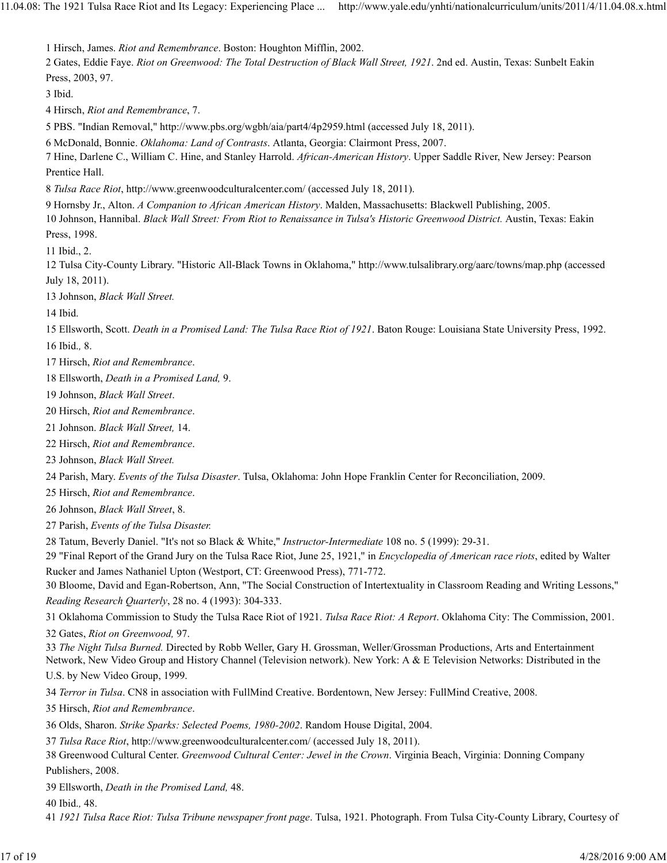1 Hirsch, James. *Riot and Remembrance*. Boston: Houghton Mifflin, 2002. 2 Gates, Eddie Faye. *Riot on Greenwood: The Total Destruction of Black Wall Street, 1921*. 2nd ed. Austin, Texas: Sunbelt Eakin Press, 2003, 97. 3 Ibid. 4 Hirsch, *Riot and Remembrance*, 7. 5 PBS. "Indian Removal," http://www.pbs.org/wgbh/aia/part4/4p2959.html (accessed July 18, 2011). 6 McDonald, Bonnie. *Oklahoma: Land of Contrasts*. Atlanta, Georgia: Clairmont Press, 2007. 7 Hine, Darlene C., William C. Hine, and Stanley Harrold. *African-American History*. Upper Saddle River, New Jersey: Pearson Prentice Hall. 8 *Tulsa Race Riot*, http://www.greenwoodculturalcenter.com/ (accessed July 18, 2011). 9 Hornsby Jr., Alton. *A Companion to African American History*. Malden, Massachusetts: Blackwell Publishing, 2005. 10 Johnson, Hannibal. *Black Wall Street: From Riot to Renaissance in Tulsa's Historic Greenwood District.* Austin, Texas: Eakin Press, 1998. 11 Ibid., 2. 12 Tulsa City-County Library. "Historic All-Black Towns in Oklahoma," http://www.tulsalibrary.org/aarc/towns/map.php (accessed July 18, 2011). 13 Johnson, *Black Wall Street.* 14 Ibid. 15 Ellsworth, Scott. *Death in a Promised Land: The Tulsa Race Riot of 1921*. Baton Rouge: Louisiana State University Press, 1992. 16 Ibid.*,* 8. 17 Hirsch, *Riot and Remembrance*. 18 Ellsworth, *Death in a Promised Land,* 9. 19 Johnson, *Black Wall Street*. 20 Hirsch, *Riot and Remembrance*. 21 Johnson. *Black Wall Street,* 14. 22 Hirsch, *Riot and Remembrance*. 23 Johnson, *Black Wall Street.* 24 Parish, Mary. *Events of the Tulsa Disaster*. Tulsa, Oklahoma: John Hope Franklin Center for Reconciliation, 2009. 25 Hirsch, *Riot and Remembrance*. 26 Johnson, *Black Wall Street*, 8. 27 Parish, *Events of the Tulsa Disaster.* 28 Tatum, Beverly Daniel. "It's not so Black & White," *Instructor-Intermediate* 108 no. 5 (1999): 29-31. 29 "Final Report of the Grand Jury on the Tulsa Race Riot, June 25, 1921," in *Encyclopedia of American race riots*, edited by Walter Rucker and James Nathaniel Upton (Westport, CT: Greenwood Press), 771-772. 30 Bloome, David and Egan-Robertson, Ann, "The Social Construction of Intertextuality in Classroom Reading and Writing Lessons," *Reading Research Quarterly*, 28 no. 4 (1993): 304-333. 31 Oklahoma Commission to Study the Tulsa Race Riot of 1921. *Tulsa Race Riot: A Report*. Oklahoma City: The Commission, 2001. 32 Gates, *Riot on Greenwood,* 97. 33 *The Night Tulsa Burned.* Directed by Robb Weller, Gary H. Grossman, Weller/Grossman Productions, Arts and Entertainment Network, New Video Group and History Channel (Television network). New York: A & E Television Networks: Distributed in the U.S. by New Video Group, 1999. 34 *Terror in Tulsa*. CN8 in association with FullMind Creative. Bordentown, New Jersey: FullMind Creative, 2008. 35 Hirsch, *Riot and Remembrance*. 36 Olds, Sharon. *Strike Sparks: Selected Poems, 1980-2002*. Random House Digital, 2004. 37 *Tulsa Race Riot*, http://www.greenwoodculturalcenter.com/ (accessed July 18, 2011). 38 Greenwood Cultural Center. *Greenwood Cultural Center: Jewel in the Crown*. Virginia Beach, Virginia: Donning Company Publishers, 2008. 39 Ellsworth, *Death in the Promised Land,* 48. 40 Ibid.*,* 48. 41 *1921 Tulsa Race Riot: Tulsa Tribune newspaper front page*. Tulsa, 1921. Photograph. From Tulsa City-County Library, Courtesy of 17 of 19 4/28/2016 9:00 AM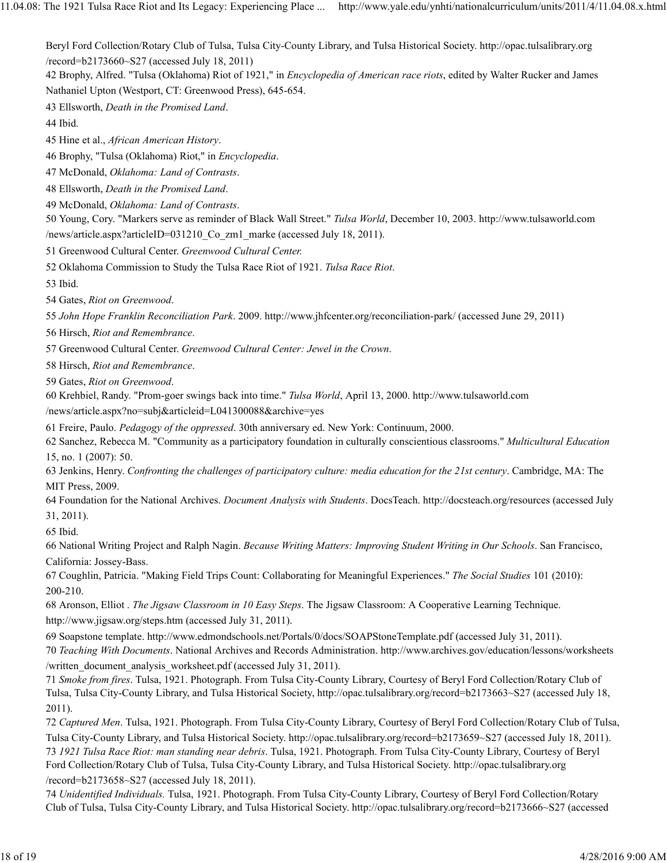Beryl Ford Collection/Rotary Club of Tulsa, Tulsa City-County Library, and Tulsa Historical Society. http://opac.tulsalibrary.org /record=b2173660~S27 (accessed July 18, 2011)

42 Brophy, Alfred. "Tulsa (Oklahoma) Riot of 1921," in *Encyclopedia of American race riots*, edited by Walter Rucker and James Nathaniel Upton (Westport, CT: Greenwood Press), 645-654.

43 Ellsworth, *Death in the Promised Land*.

44 Ibid.

45 Hine et al., *African American History*.

46 Brophy, "Tulsa (Oklahoma) Riot," in *Encyclopedia*.

47 McDonald, *Oklahoma: Land of Contrasts*.

48 Ellsworth, *Death in the Promised Land*.

49 McDonald, *Oklahoma: Land of Contrasts*.

50 Young, Cory. "Markers serve as reminder of Black Wall Street." *Tulsa World*, December 10, 2003. http://www.tulsaworld.com /news/article.aspx?articleID=031210 Co\_zm1\_marke (accessed July 18, 2011).

51 Greenwood Cultural Center. *Greenwood Cultural Center.*

52 Oklahoma Commission to Study the Tulsa Race Riot of 1921. *Tulsa Race Riot*.

53 Ibid.

54 Gates, *Riot on Greenwood*.

55 *John Hope Franklin Reconciliation Park*. 2009. http://www.jhfcenter.org/reconciliation-park/ (accessed June 29, 2011)

56 Hirsch, *Riot and Remembrance*.

57 Greenwood Cultural Center. *Greenwood Cultural Center: Jewel in the Crown*.

58 Hirsch, *Riot and Remembrance*.

59 Gates, *Riot on Greenwood*.

60 Krehbiel, Randy. "Prom-goer swings back into time." *Tulsa World*, April 13, 2000. http://www.tulsaworld.com

/news/article.aspx?no=subj&articleid=L041300088&archive=yes

61 Freire, Paulo. *Pedagogy of the oppressed*. 30th anniversary ed. New York: Continuum, 2000.

62 Sanchez, Rebecca M. "Community as a participatory foundation in culturally conscientious classrooms." *Multicultural Education* 15, no. 1 (2007): 50.

63 Jenkins, Henry. *Confronting the challenges of participatory culture: media education for the 21st century*. Cambridge, MA: The MIT Press, 2009.

64 Foundation for the National Archives. *Document Analysis with Students*. DocsTeach. http://docsteach.org/resources (accessed July 31, 2011).

65 Ibid.

66 National Writing Project and Ralph Nagin. *Because Writing Matters: Improving Student Writing in Our Schools*. San Francisco, California: Jossey-Bass.

67 Coughlin, Patricia. "Making Field Trips Count: Collaborating for Meaningful Experiences." *The Social Studies* 101 (2010): 200-210.

68 Aronson, Elliot . *The Jigsaw Classroom in 10 Easy Steps*. The Jigsaw Classroom: A Cooperative Learning Technique. http://www.jigsaw.org/steps.htm (accessed July 31, 2011).

69 Soapstone template. http://www.edmondschools.net/Portals/0/docs/SOAPStoneTemplate.pdf (accessed July 31, 2011). 70 *Teaching With Documents*. National Archives and Records Administration. http://www.archives.gov/education/lessons/worksheets /written\_document\_analysis\_worksheet.pdf (accessed July 31, 2011).

71 *Smoke from fires*. Tulsa, 1921. Photograph. From Tulsa City-County Library, Courtesy of Beryl Ford Collection/Rotary Club of Tulsa, Tulsa City-County Library, and Tulsa Historical Society, http://opac.tulsalibrary.org/record=b2173663~S27 (accessed July 18, 2011).

72 *Captured Men*. Tulsa, 1921. Photograph. From Tulsa City-County Library, Courtesy of Beryl Ford Collection/Rotary Club of Tulsa, Tulsa City-County Library, and Tulsa Historical Society. http://opac.tulsalibrary.org/record=b2173659~S27 (accessed July 18, 2011). 73 *1921 Tulsa Race Riot: man standing near debris*. Tulsa, 1921. Photograph. From Tulsa City-County Library, Courtesy of Beryl Ford Collection/Rotary Club of Tulsa, Tulsa City-County Library, and Tulsa Historical Society. http://opac.tulsalibrary.org /record=b2173658~S27 (accessed July 18, 2011).

74 *Unidentified Individuals.* Tulsa, 1921. Photograph. From Tulsa City-County Library, Courtesy of Beryl Ford Collection/Rotary Club of Tulsa, Tulsa City-County Library, and Tulsa Historical Society. http://opac.tulsalibrary.org/record=b2173666~S27 (accessed